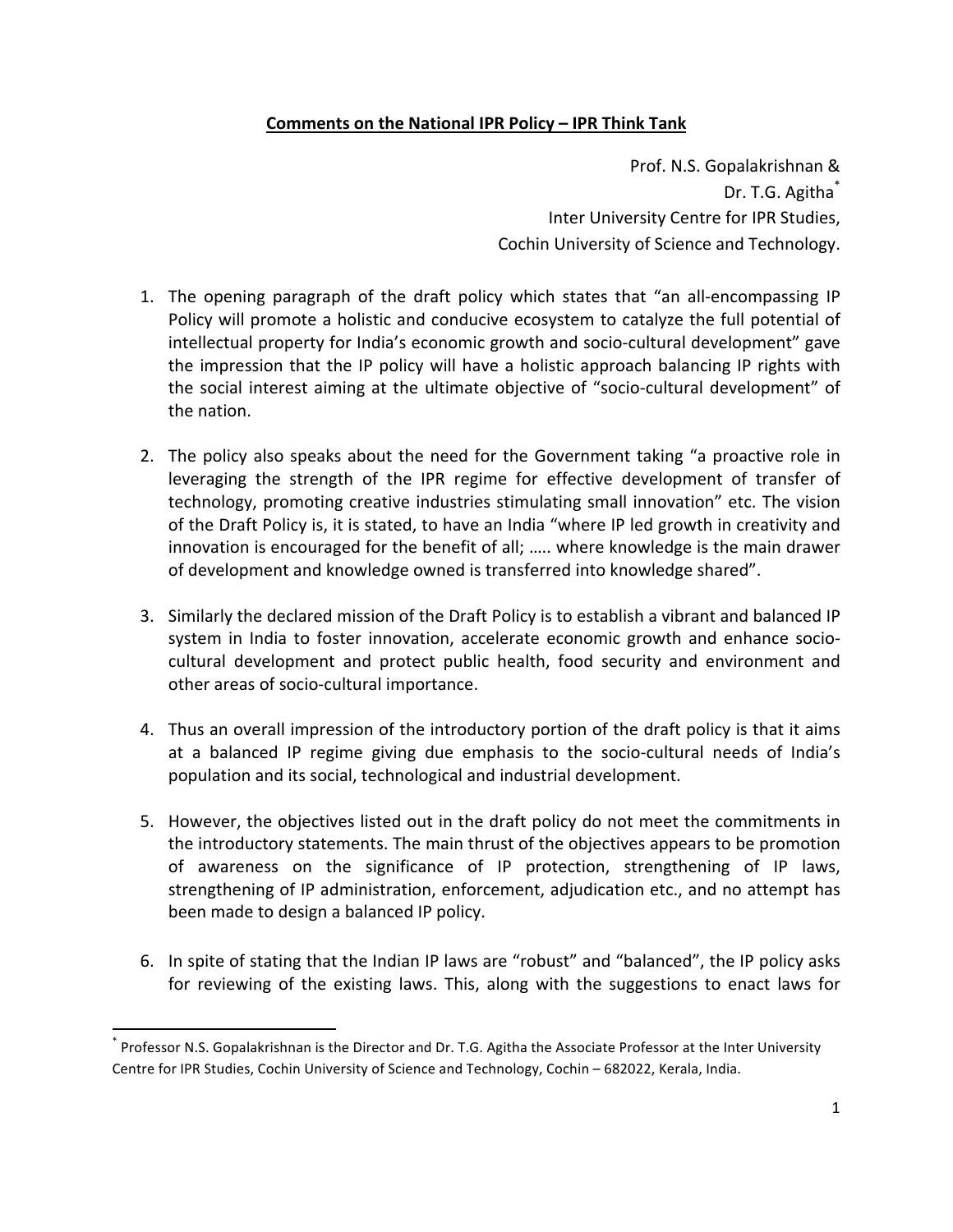## **Comments on the National IPR Policy – IPR Think Tank**

Prof. N.S. Gopalakrishnan & Dr. T.G. Agitha\* Inter University Centre for IPR Studies, Cochin University of Science and Technology.

- 1. The opening paragraph of the draft policy which states that "an all-encompassing IP Policy will promote a holistic and conducive ecosystem to catalyze the full potential of intellectual property for India's economic growth and socio-cultural development" gave the impression that the IP policy will have a holistic approach balancing IP rights with the social interest aiming at the ultimate objective of "socio-cultural development" of the nation.
- 2. The policy also speaks about the need for the Government taking "a proactive role in leveraging the strength of the IPR regime for effective development of transfer of technology, promoting creative industries stimulating small innovation" etc. The vision of the Draft Policy is, it is stated, to have an India "where IP led growth in creativity and innovation is encouraged for the benefit of all; ..... where knowledge is the main drawer of development and knowledge owned is transferred into knowledge shared".
- 3. Similarly the declared mission of the Draft Policy is to establish a vibrant and balanced IP system in India to foster innovation, accelerate economic growth and enhance sociocultural development and protect public health, food security and environment and other areas of socio-cultural importance.
- 4. Thus an overall impression of the introductory portion of the draft policy is that it aims at a balanced IP regime giving due emphasis to the socio-cultural needs of India's population and its social, technological and industrial development.
- 5. However, the objectives listed out in the draft policy do not meet the commitments in the introductory statements. The main thrust of the objectives appears to be promotion of awareness on the significance of IP protection, strengthening of IP laws, strengthening of IP administration, enforcement, adjudication etc., and no attempt has been made to design a balanced IP policy.
- 6. In spite of stating that the Indian IP laws are "robust" and "balanced", the IP policy asks for reviewing of the existing laws. This, along with the suggestions to enact laws for

 

<sup>\*</sup> Professor N.S. Gopalakrishnan is the Director and Dr. T.G. Agitha the Associate Professor at the Inter University Centre for IPR Studies, Cochin University of Science and Technology, Cochin - 682022, Kerala, India.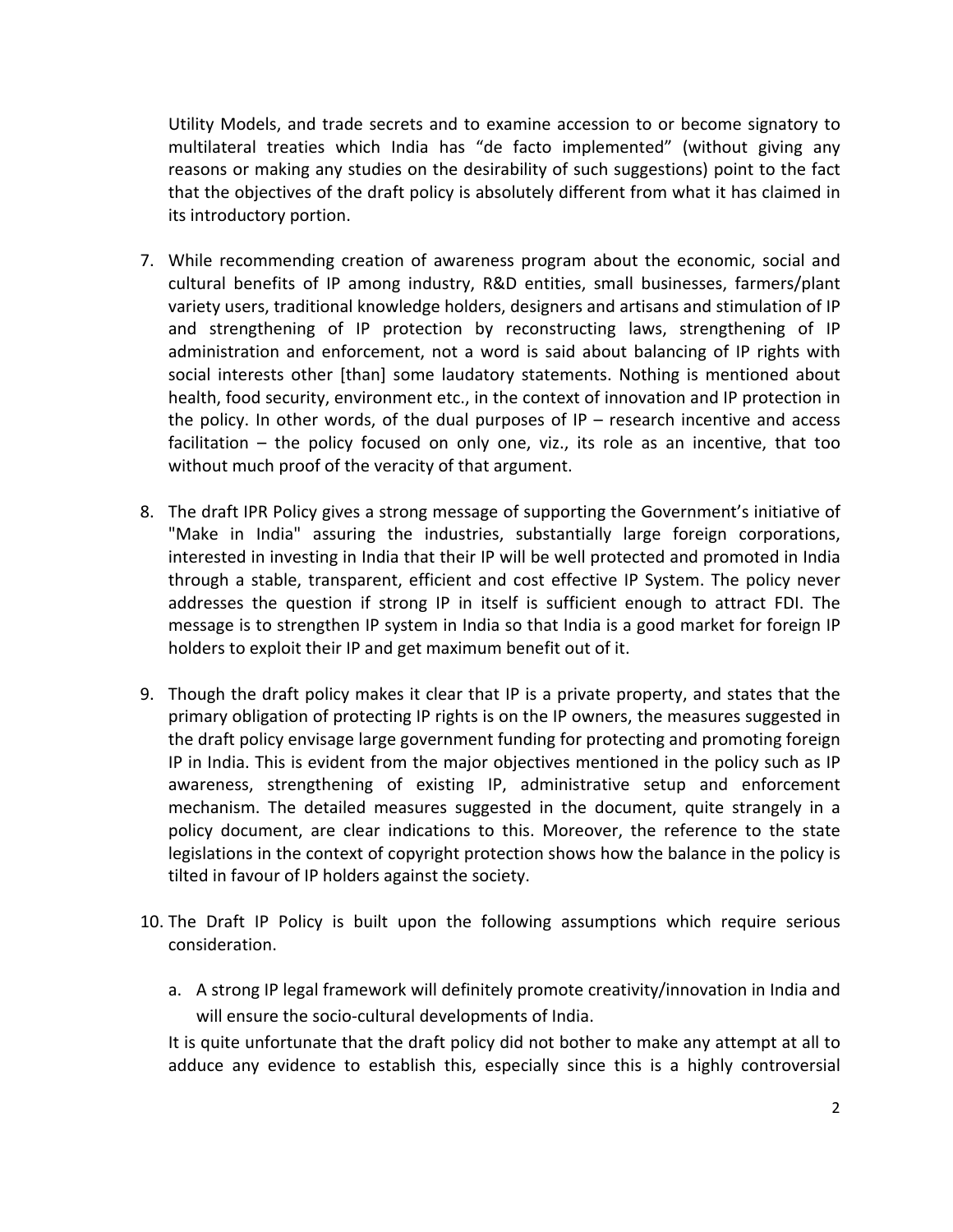Utility Models, and trade secrets and to examine accession to or become signatory to multilateral treaties which India has "de facto implemented" (without giving any reasons or making any studies on the desirability of such suggestions) point to the fact that the objectives of the draft policy is absolutely different from what it has claimed in its introductory portion.

- 7. While recommending creation of awareness program about the economic, social and cultural benefits of IP among industry, R&D entities, small businesses, farmers/plant variety users, traditional knowledge holders, designers and artisans and stimulation of IP and strengthening of IP protection by reconstructing laws, strengthening of IP administration and enforcement, not a word is said about balancing of IP rights with social interests other [than] some laudatory statements. Nothing is mentioned about health, food security, environment etc., in the context of innovation and IP protection in the policy. In other words, of the dual purposes of  $IP$  – research incentive and access facilitation  $-$  the policy focused on only one, viz., its role as an incentive, that too without much proof of the veracity of that argument.
- 8. The draft IPR Policy gives a strong message of supporting the Government's initiative of "Make in India" assuring the industries, substantially large foreign corporations, interested in investing in India that their IP will be well protected and promoted in India through a stable, transparent, efficient and cost effective IP System. The policy never addresses the question if strong IP in itself is sufficient enough to attract FDI. The message is to strengthen IP system in India so that India is a good market for foreign IP holders to exploit their IP and get maximum benefit out of it.
- 9. Though the draft policy makes it clear that IP is a private property, and states that the primary obligation of protecting IP rights is on the IP owners, the measures suggested in the draft policy envisage large government funding for protecting and promoting foreign IP in India. This is evident from the major objectives mentioned in the policy such as IP awareness, strengthening of existing IP, administrative setup and enforcement mechanism. The detailed measures suggested in the document, quite strangely in a policy document, are clear indications to this. Moreover, the reference to the state legislations in the context of copyright protection shows how the balance in the policy is tilted in favour of IP holders against the society.
- 10. The Draft IP Policy is built upon the following assumptions which require serious consideration.
	- a. A strong IP legal framework will definitely promote creativity/innovation in India and will ensure the socio-cultural developments of India.

It is quite unfortunate that the draft policy did not bother to make any attempt at all to adduce any evidence to establish this, especially since this is a highly controversial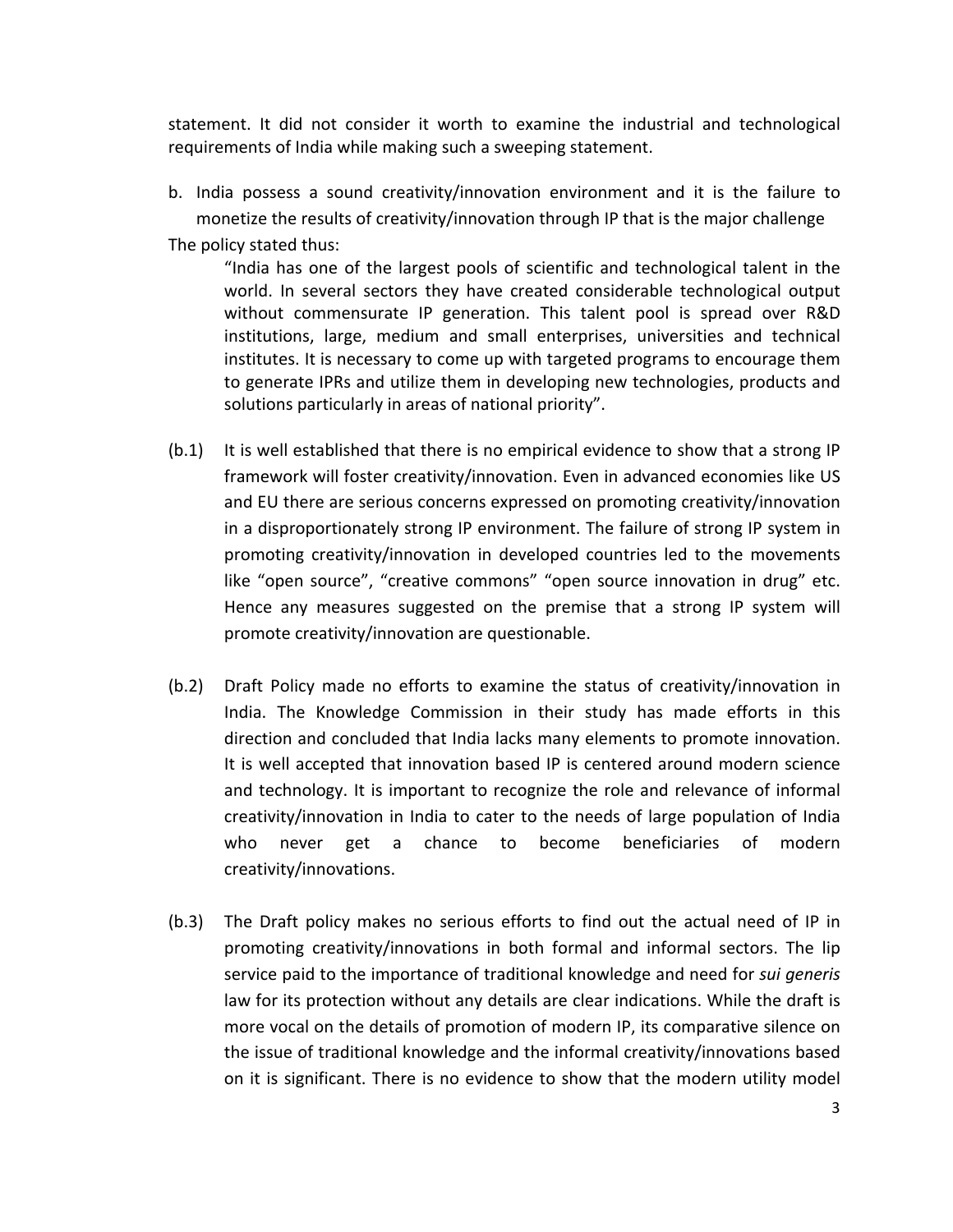statement. It did not consider it worth to examine the industrial and technological requirements of India while making such a sweeping statement.

b. India possess a sound creativity/innovation environment and it is the failure to monetize the results of creativity/innovation through IP that is the major challenge The policy stated thus:

"India has one of the largest pools of scientific and technological talent in the world. In several sectors they have created considerable technological output without commensurate IP generation. This talent pool is spread over R&D institutions, large, medium and small enterprises, universities and technical institutes. It is necessary to come up with targeted programs to encourage them to generate IPRs and utilize them in developing new technologies, products and solutions particularly in areas of national priority".

- (b.1) It is well established that there is no empirical evidence to show that a strong IP framework will foster creativity/innovation. Even in advanced economies like US and EU there are serious concerns expressed on promoting creativity/innovation in a disproportionately strong IP environment. The failure of strong IP system in promoting creativity/innovation in developed countries led to the movements like "open source", "creative commons" "open source innovation in drug" etc. Hence any measures suggested on the premise that a strong IP system will promote creativity/innovation are questionable.
- (b.2) Draft Policy made no efforts to examine the status of creativity/innovation in India. The Knowledge Commission in their study has made efforts in this direction and concluded that India lacks many elements to promote innovation. It is well accepted that innovation based IP is centered around modern science and technology. It is important to recognize the role and relevance of informal creativity/innovation in India to cater to the needs of large population of India who never get a chance to become beneficiaries of modern creativity/innovations.
- (b.3) The Draft policy makes no serious efforts to find out the actual need of IP in promoting creativity/innovations in both formal and informal sectors. The lip service paid to the importance of traditional knowledge and need for *sui generis* law for its protection without any details are clear indications. While the draft is more vocal on the details of promotion of modern IP, its comparative silence on the issue of traditional knowledge and the informal creativity/innovations based on it is significant. There is no evidence to show that the modern utility model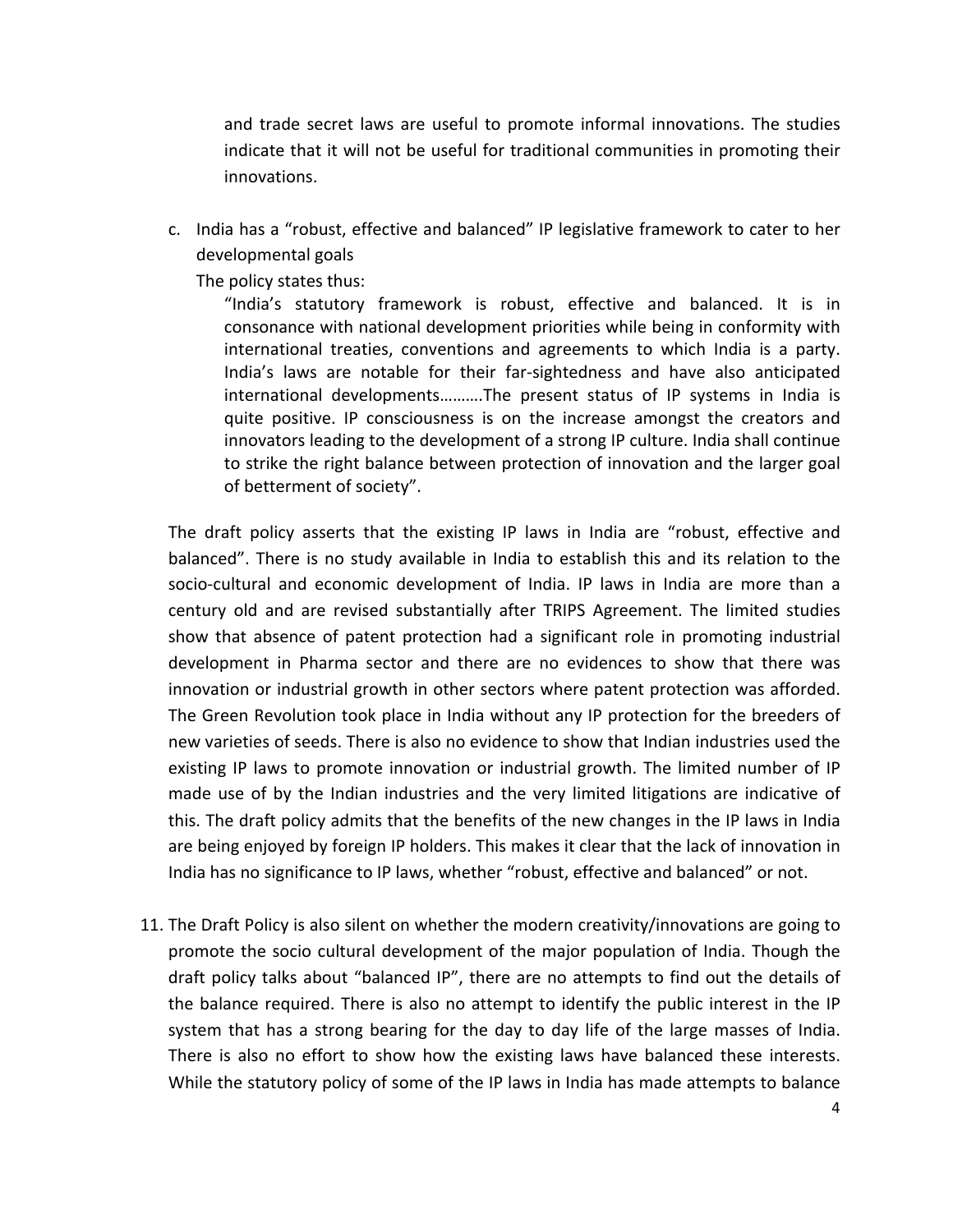and trade secret laws are useful to promote informal innovations. The studies indicate that it will not be useful for traditional communities in promoting their innovations. 

c. India has a "robust, effective and balanced" IP legislative framework to cater to her developmental goals

The policy states thus:

"India's statutory framework is robust, effective and balanced. It is in consonance with national development priorities while being in conformity with international treaties, conventions and agreements to which India is a party. India's laws are notable for their far-sightedness and have also anticipated international developments..........The present status of IP systems in India is quite positive. IP consciousness is on the increase amongst the creators and innovators leading to the development of a strong IP culture. India shall continue to strike the right balance between protection of innovation and the larger goal of betterment of society".

The draft policy asserts that the existing IP laws in India are "robust, effective and balanced". There is no study available in India to establish this and its relation to the socio-cultural and economic development of India. IP laws in India are more than a century old and are revised substantially after TRIPS Agreement. The limited studies show that absence of patent protection had a significant role in promoting industrial development in Pharma sector and there are no evidences to show that there was innovation or industrial growth in other sectors where patent protection was afforded. The Green Revolution took place in India without any IP protection for the breeders of new varieties of seeds. There is also no evidence to show that Indian industries used the existing IP laws to promote innovation or industrial growth. The limited number of IP made use of by the Indian industries and the very limited litigations are indicative of this. The draft policy admits that the benefits of the new changes in the IP laws in India are being enjoyed by foreign IP holders. This makes it clear that the lack of innovation in India has no significance to IP laws, whether "robust, effective and balanced" or not.

11. The Draft Policy is also silent on whether the modern creativity/innovations are going to promote the socio cultural development of the major population of India. Though the draft policy talks about "balanced IP", there are no attempts to find out the details of the balance required. There is also no attempt to identify the public interest in the IP system that has a strong bearing for the day to day life of the large masses of India. There is also no effort to show how the existing laws have balanced these interests. While the statutory policy of some of the IP laws in India has made attempts to balance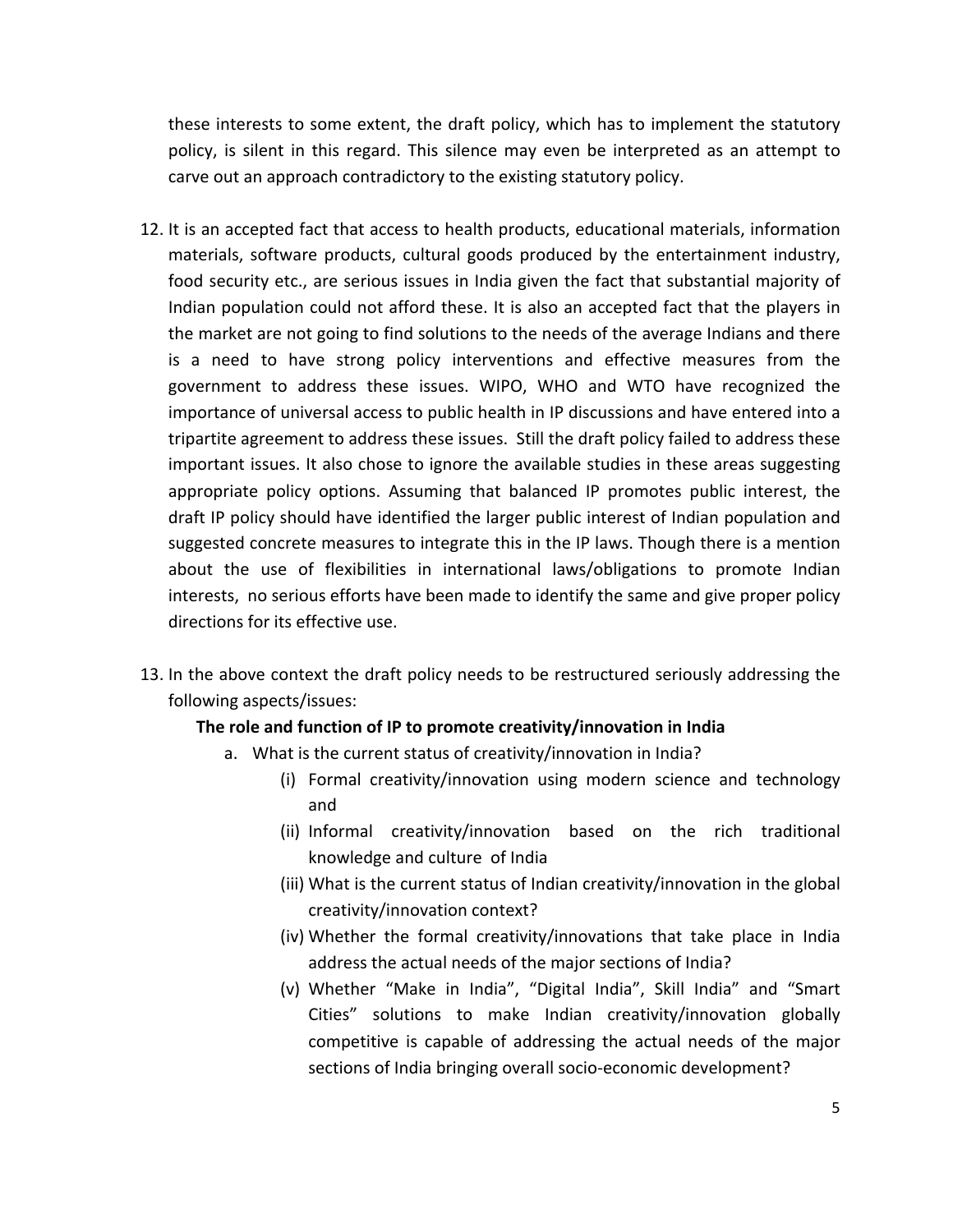these interests to some extent, the draft policy, which has to implement the statutory policy, is silent in this regard. This silence may even be interpreted as an attempt to carve out an approach contradictory to the existing statutory policy.

- 12. It is an accepted fact that access to health products, educational materials, information materials, software products, cultural goods produced by the entertainment industry, food security etc., are serious issues in India given the fact that substantial majority of Indian population could not afford these. It is also an accepted fact that the players in the market are not going to find solutions to the needs of the average Indians and there is a need to have strong policy interventions and effective measures from the government to address these issues. WIPO, WHO and WTO have recognized the importance of universal access to public health in IP discussions and have entered into a tripartite agreement to address these issues. Still the draft policy failed to address these important issues. It also chose to ignore the available studies in these areas suggesting appropriate policy options. Assuming that balanced IP promotes public interest, the draft IP policy should have identified the larger public interest of Indian population and suggested concrete measures to integrate this in the IP laws. Though there is a mention about the use of flexibilities in international laws/obligations to promote Indian interests, no serious efforts have been made to identify the same and give proper policy directions for its effective use.
- 13. In the above context the draft policy needs to be restructured seriously addressing the following aspects/issues:

## The role and function of IP to promote creativity/innovation in India

- a. What is the current status of creativity/innovation in India?
	- (i) Formal creativity/innovation using modern science and technology and
	- (ii) Informal creativity/innovation based on the rich traditional knowledge and culture of India
	- (iii) What is the current status of Indian creativity/innovation in the global creativity/innovation context?
	- (iv) Whether the formal creativity/innovations that take place in India address the actual needs of the major sections of India?
	- (v) Whether "Make in India", "Digital India", Skill India" and "Smart Cities" solutions to make Indian creativity/innovation globally competitive is capable of addressing the actual needs of the major sections of India bringing overall socio-economic development?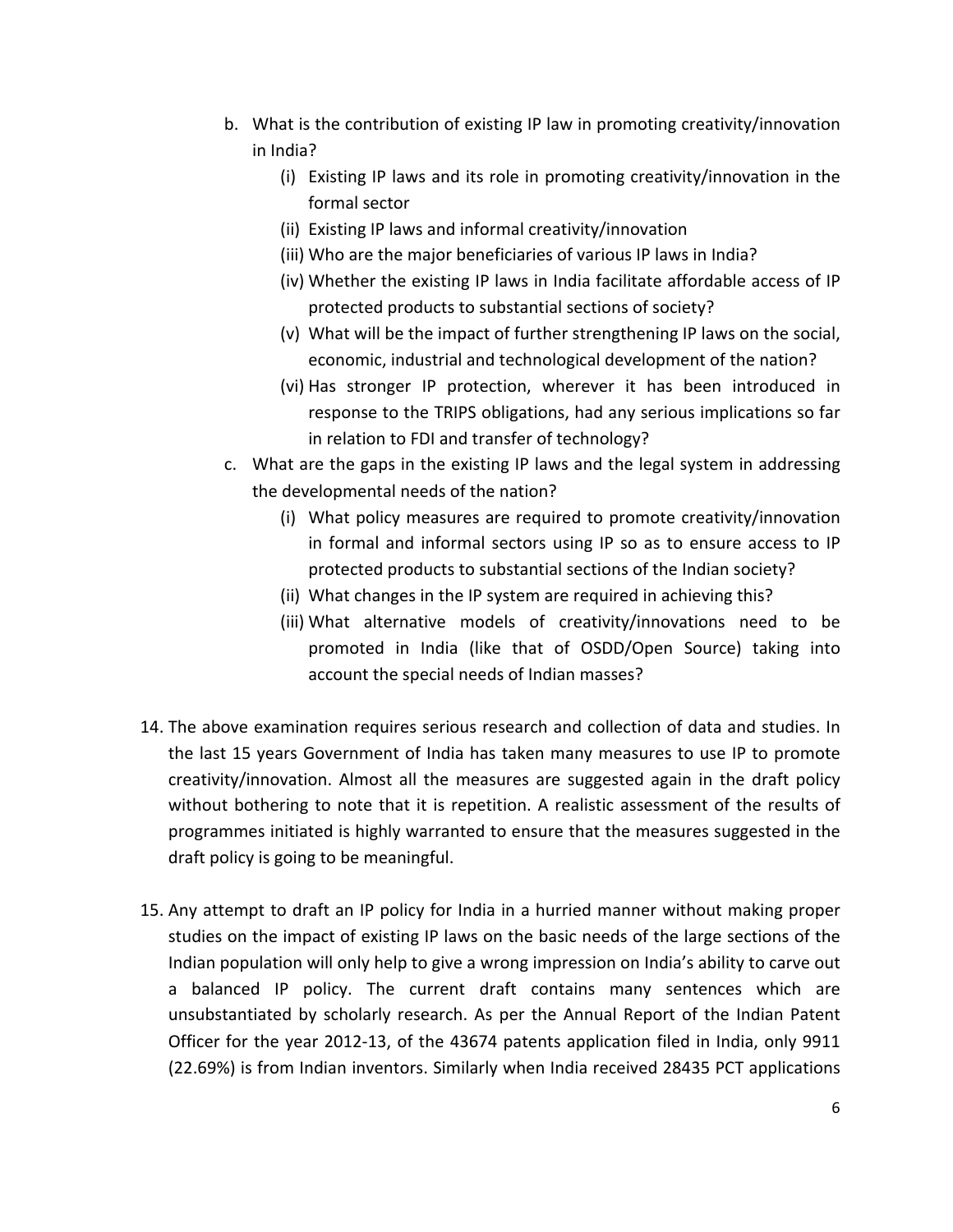- b. What is the contribution of existing IP law in promoting creativity/innovation in India?
	- (i) Existing IP laws and its role in promoting creativity/innovation in the formal sector
	- (ii) Existing IP laws and informal creativity/innovation
	- (iii) Who are the major beneficiaries of various IP laws in India?
	- (iv) Whether the existing IP laws in India facilitate affordable access of IP protected products to substantial sections of society?
	- (v) What will be the impact of further strengthening IP laws on the social, economic, industrial and technological development of the nation?
	- (vi) Has stronger IP protection, wherever it has been introduced in response to the TRIPS obligations, had any serious implications so far in relation to FDI and transfer of technology?
- c. What are the gaps in the existing IP laws and the legal system in addressing the developmental needs of the nation?
	- (i) What policy measures are required to promote creativity/innovation in formal and informal sectors using IP so as to ensure access to IP protected products to substantial sections of the Indian society?
	- (ii) What changes in the IP system are required in achieving this?
	- (iii) What alternative models of creativity/innovations need to be promoted in India (like that of OSDD/Open Source) taking into account the special needs of Indian masses?
- 14. The above examination requires serious research and collection of data and studies. In the last 15 years Government of India has taken many measures to use IP to promote creativity/innovation. Almost all the measures are suggested again in the draft policy without bothering to note that it is repetition. A realistic assessment of the results of programmes initiated is highly warranted to ensure that the measures suggested in the draft policy is going to be meaningful.
- 15. Any attempt to draft an IP policy for India in a hurried manner without making proper studies on the impact of existing IP laws on the basic needs of the large sections of the Indian population will only help to give a wrong impression on India's ability to carve out a balanced IP policy. The current draft contains many sentences which are unsubstantiated by scholarly research. As per the Annual Report of the Indian Patent Officer for the year 2012-13, of the 43674 patents application filed in India, only 9911 (22.69%) is from Indian inventors. Similarly when India received 28435 PCT applications